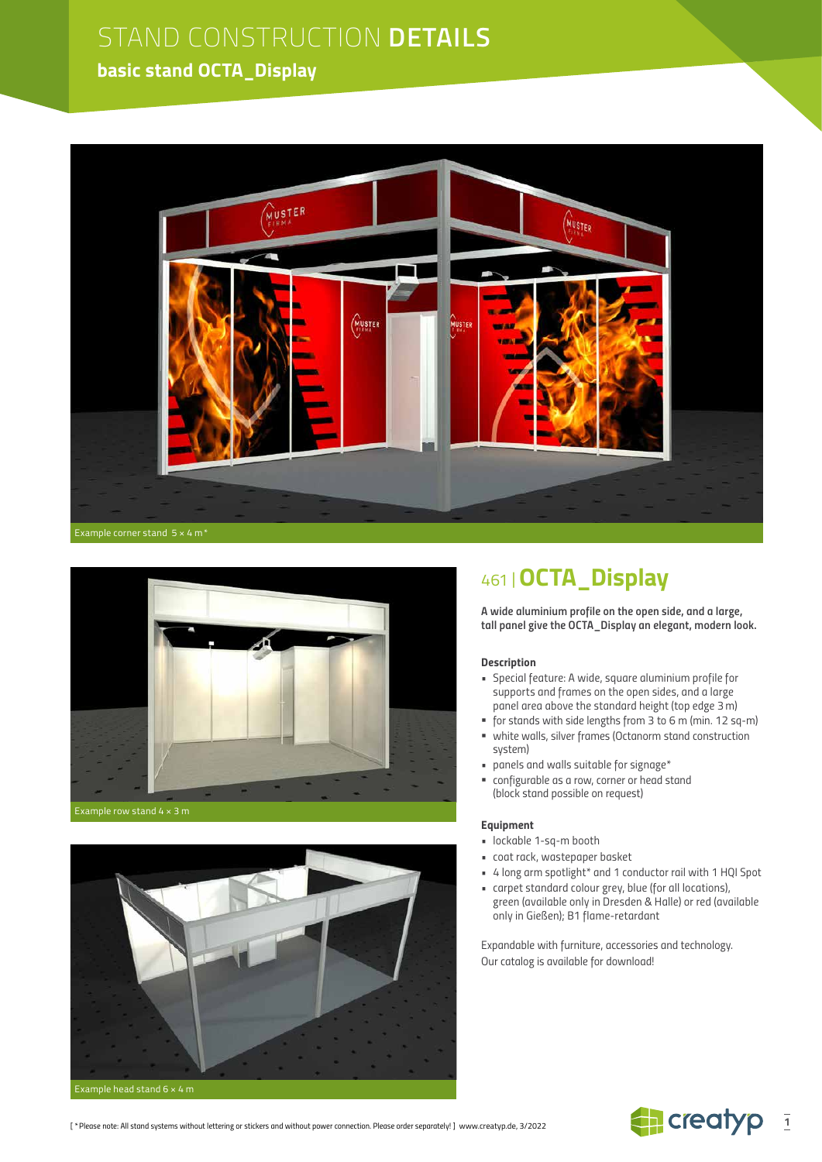### **basic stand OCTA\_Display**





Example row stand 4 × 3 m



## 461 |**OCTA\_Display**

*A wide aluminium profile on the open side, and a large, tall panel give the OCTA\_Display an elegant, modern look.*

#### *Description*

- *Special feature: A wide, square aluminium profile for supports and frames on the open sides, and a large panel area above the standard height (top edge 3m)*
- *for stands with side lengths from 3 to 6 m (min. 12 sq-m) white walls, silver frames (Octanorm stand construction*
- *system) • panels and walls suitable for signage\**
- *configurable as a row, corner or head stand (block stand possible on request)*

#### *Equipment*

- *lockable 1-sq-m booth*
- *coat rack, wastepaper basket*
- *• 4 long arm spotlight\* and 1 conductor rail with 1 HQI Spot*
- *carpet standard colour grey, blue (for all locations),*
- *green (available only in Dresden & Halle) or red (available only in Gießen); B1 flame-retardant*

*Expandable with furniture, accessories and technology. Our catalog is available for download!*

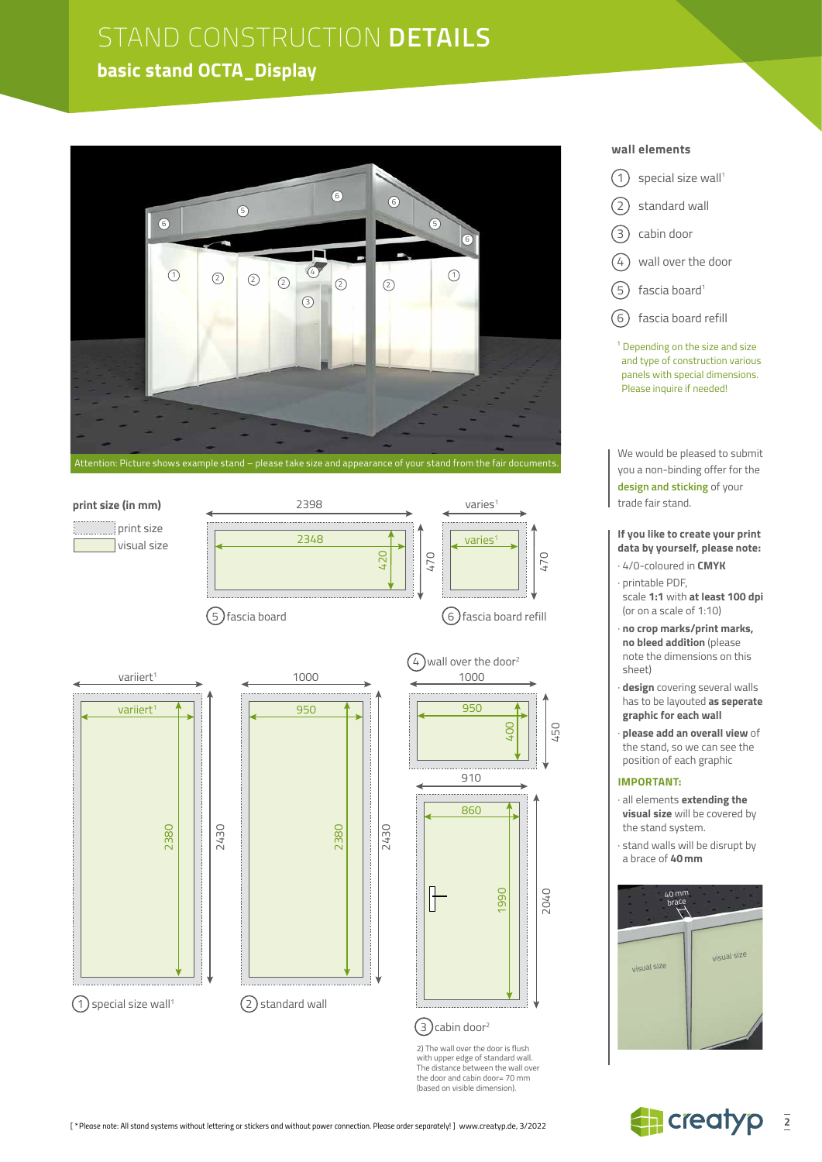## **basic stand OCTA\_Display**





### **wall elements**

- $(1)$  special size wall<sup>1</sup>  $(2)$  standard wall 3 cabin door  $\curvearrowleft$  wall over the door
- $(5)$  fascia board<sup>1</sup>
- 6 fascia board refill

<sup>1</sup> Depending on the size and size and type of construction various panels with special dimensions. Please inquire if needed!

We would be pleased to submit you a non-binding offer for the **design and sticking** of your trade fair stand.

#### **If you like to create your print data by yourself, please note:**

- · 4/0-coloured in **CMYK**
- · printable PDF, scale **1:1** with **at least 100 dpi** (or on a scale of 1:10)
- · **no crop marks/print marks, no bleed addition** (please note the dimensions on this sheet)
- · **design** covering several walls has to be layouted **as seperate graphic for each wall**
- · **please add an overall view** of the stand, so we can see the position of each graphic

#### **IMPORTANT:**

- · all elements **extending the visual size** will be covered by the stand system.
- · stand walls will be disrupt by a brace of **40mm**





 $(2)$  standard wall

2) The wall over the door is flush with upper edge of standard wall. The distance between the wall over the door and cabin door= 70 mm (based on visible dimension).

 $(3)$ cabin door<sup>2</sup>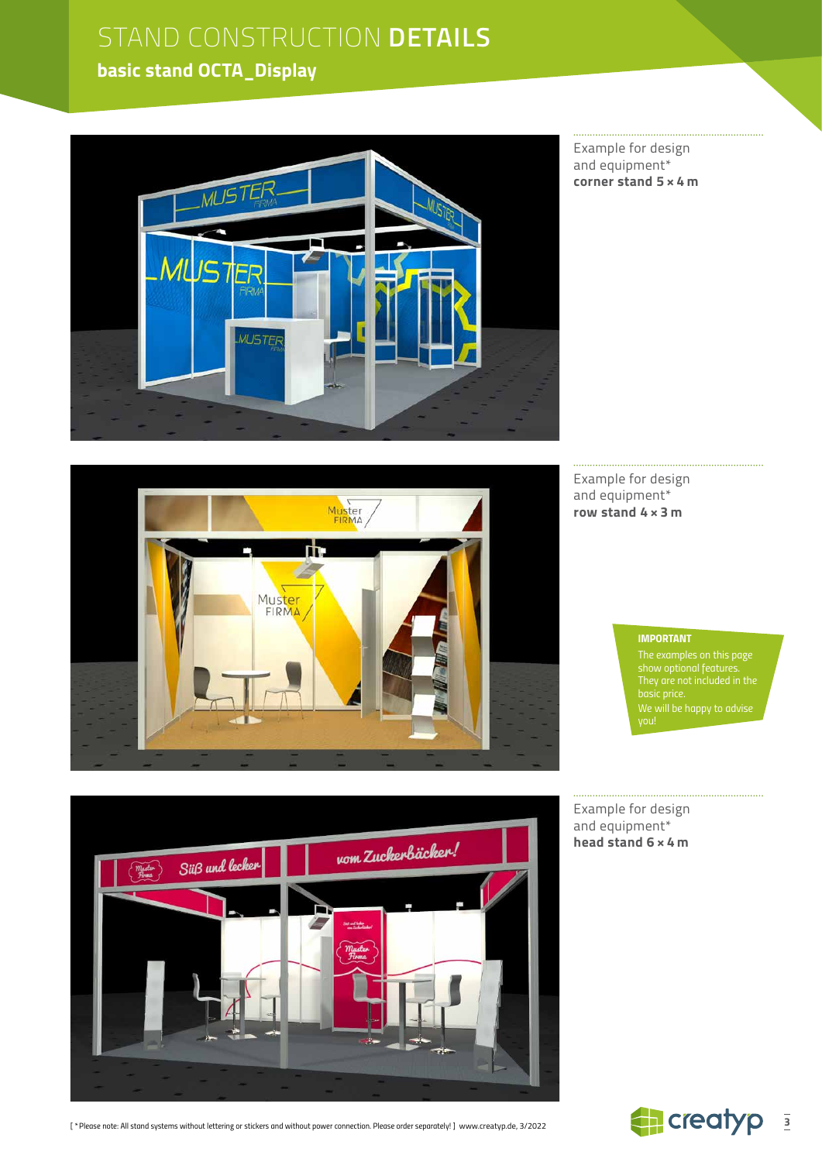### **basic stand OCTA\_Display**



Example for design and equipment\* **corner stand 5 × 4 m**



Example for design and equipment\* **row stand 4 × 3 m**

#### *IMPORTANT*

*The examples on this page show optional features. We will be happy to advise* 



*[ \*Please note: All stand systems without lettering or stickers and without power connection. Please order separately! ]* www.creatyp.de, 3/2022

Example for design and equipment\* **head stand 6 × 4 m**